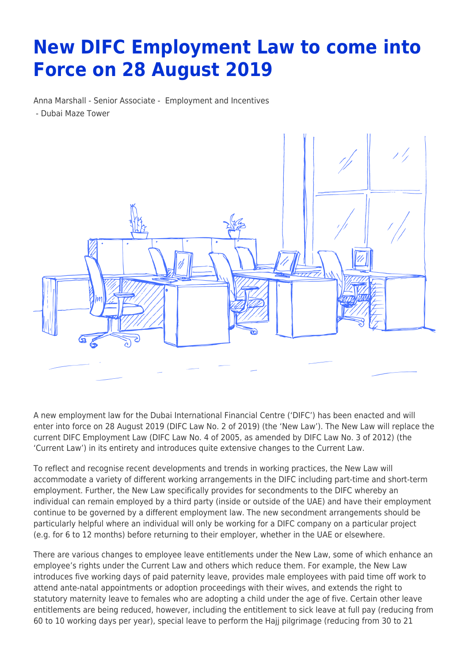## **New DIFC Employment Law to come into Force on 28 August 2019**

Anna Marshall - Senior Associate - [Employment and Incentives](https://www.tamimi.com/client-services/practices/employment-incentives/) - [Dubai Maze Tower](https://www.tamimi.com/locations/uae/)



A new employment law for the Dubai International Financial Centre ('DIFC') has been enacted and will enter into force on 28 August 2019 (DIFC Law No. 2 of 2019) (the 'New Law'). The New Law will replace the current DIFC Employment Law (DIFC Law No. 4 of 2005, as amended by DIFC Law No. 3 of 2012) (the 'Current Law') in its entirety and introduces quite extensive changes to the Current Law.

To reflect and recognise recent developments and trends in working practices, the New Law will accommodate a variety of different working arrangements in the DIFC including part-time and short-term employment. Further, the New Law specifically provides for secondments to the DIFC whereby an individual can remain employed by a third party (inside or outside of the UAE) and have their employment continue to be governed by a different employment law. The new secondment arrangements should be particularly helpful where an individual will only be working for a DIFC company on a particular project (e.g. for 6 to 12 months) before returning to their employer, whether in the UAE or elsewhere.

There are various changes to employee leave entitlements under the New Law, some of which enhance an employee's rights under the Current Law and others which reduce them. For example, the New Law introduces five working days of paid paternity leave, provides male employees with paid time off work to attend ante-natal appointments or adoption proceedings with their wives, and extends the right to statutory maternity leave to females who are adopting a child under the age of five. Certain other leave entitlements are being reduced, however, including the entitlement to sick leave at full pay (reducing from 60 to 10 working days per year), special leave to perform the Hajj pilgrimage (reducing from 30 to 21